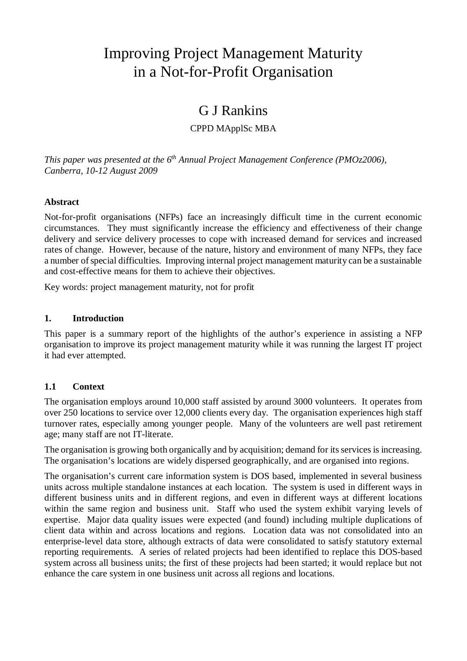# Improving Project Management Maturity in a Not-for-Profit Organisation

# G J Rankins

### CPPD MApplSc MBA

*This paper was presented at the 6th Annual Project Management Conference (PMOz2006), Canberra, 10-12 August 2009* 

#### **Abstract**

Not-for-profit organisations (NFPs) face an increasingly difficult time in the current economic circumstances. They must significantly increase the efficiency and effectiveness of their change delivery and service delivery processes to cope with increased demand for services and increased rates of change. However, because of the nature, history and environment of many NFPs, they face a number of special difficulties. Improving internal project management maturity can be a sustainable and cost-effective means for them to achieve their objectives.

Key words: project management maturity, not for profit

#### **1. Introduction**

This paper is a summary report of the highlights of the author's experience in assisting a NFP organisation to improve its project management maturity while it was running the largest IT project it had ever attempted.

#### **1.1 Context**

The organisation employs around 10,000 staff assisted by around 3000 volunteers. It operates from over 250 locations to service over 12,000 clients every day. The organisation experiences high staff turnover rates, especially among younger people. Many of the volunteers are well past retirement age; many staff are not IT-literate.

The organisation is growing both organically and by acquisition; demand for its services is increasing. The organisation's locations are widely dispersed geographically, and are organised into regions.

The organisation's current care information system is DOS based, implemented in several business units across multiple standalone instances at each location. The system is used in different ways in different business units and in different regions, and even in different ways at different locations within the same region and business unit. Staff who used the system exhibit varying levels of expertise. Major data quality issues were expected (and found) including multiple duplications of client data within and across locations and regions. Location data was not consolidated into an enterprise-level data store, although extracts of data were consolidated to satisfy statutory external reporting requirements. A series of related projects had been identified to replace this DOS-based system across all business units; the first of these projects had been started; it would replace but not enhance the care system in one business unit across all regions and locations.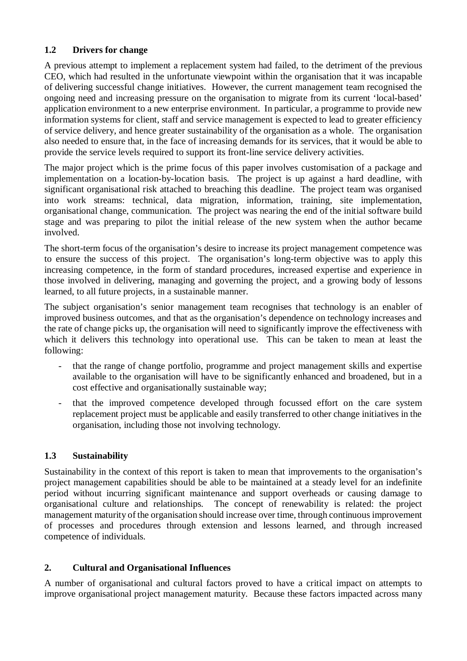## **1.2 Drivers for change**

A previous attempt to implement a replacement system had failed, to the detriment of the previous CEO, which had resulted in the unfortunate viewpoint within the organisation that it was incapable of delivering successful change initiatives. However, the current management team recognised the ongoing need and increasing pressure on the organisation to migrate from its current 'local-based' application environment to a new enterprise environment. In particular, a programme to provide new information systems for client, staff and service management is expected to lead to greater efficiency of service delivery, and hence greater sustainability of the organisation as a whole. The organisation also needed to ensure that, in the face of increasing demands for its services, that it would be able to provide the service levels required to support its front-line service delivery activities.

The major project which is the prime focus of this paper involves customisation of a package and implementation on a location-by-location basis. The project is up against a hard deadline, with significant organisational risk attached to breaching this deadline. The project team was organised into work streams: technical, data migration, information, training, site implementation, organisational change, communication. The project was nearing the end of the initial software build stage and was preparing to pilot the initial release of the new system when the author became involved.

The short-term focus of the organisation's desire to increase its project management competence was to ensure the success of this project. The organisation's long-term objective was to apply this increasing competence, in the form of standard procedures, increased expertise and experience in those involved in delivering, managing and governing the project, and a growing body of lessons learned, to all future projects, in a sustainable manner.

The subject organisation's senior management team recognises that technology is an enabler of improved business outcomes, and that as the organisation's dependence on technology increases and the rate of change picks up, the organisation will need to significantly improve the effectiveness with which it delivers this technology into operational use. This can be taken to mean at least the following:

- that the range of change portfolio, programme and project management skills and expertise available to the organisation will have to be significantly enhanced and broadened, but in a cost effective and organisationally sustainable way;
- that the improved competence developed through focussed effort on the care system replacement project must be applicable and easily transferred to other change initiatives in the organisation, including those not involving technology.

# **1.3 Sustainability**

Sustainability in the context of this report is taken to mean that improvements to the organisation's project management capabilities should be able to be maintained at a steady level for an indefinite period without incurring significant maintenance and support overheads or causing damage to organisational culture and relationships. The concept of renewability is related: the project management maturity of the organisation should increase over time, through continuous improvement of processes and procedures through extension and lessons learned, and through increased competence of individuals.

#### **2. Cultural and Organisational Influences**

A number of organisational and cultural factors proved to have a critical impact on attempts to improve organisational project management maturity. Because these factors impacted across many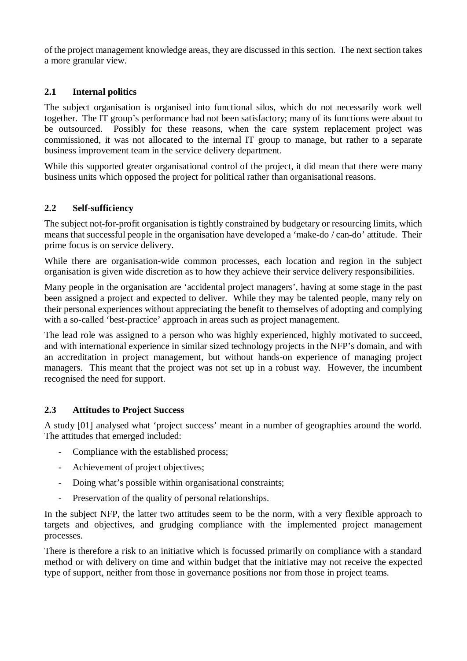of the project management knowledge areas, they are discussed in this section. The next section takes a more granular view.

### **2.1 Internal politics**

The subject organisation is organised into functional silos, which do not necessarily work well together. The IT group's performance had not been satisfactory; many of its functions were about to be outsourced. Possibly for these reasons, when the care system replacement project was commissioned, it was not allocated to the internal IT group to manage, but rather to a separate business improvement team in the service delivery department.

While this supported greater organisational control of the project, it did mean that there were many business units which opposed the project for political rather than organisational reasons.

#### **2.2 Self-sufficiency**

The subject not-for-profit organisation is tightly constrained by budgetary or resourcing limits, which means that successful people in the organisation have developed a 'make-do / can-do' attitude. Their prime focus is on service delivery.

While there are organisation-wide common processes, each location and region in the subject organisation is given wide discretion as to how they achieve their service delivery responsibilities.

Many people in the organisation are 'accidental project managers', having at some stage in the past been assigned a project and expected to deliver. While they may be talented people, many rely on their personal experiences without appreciating the benefit to themselves of adopting and complying with a so-called 'best-practice' approach in areas such as project management.

The lead role was assigned to a person who was highly experienced, highly motivated to succeed, and with international experience in similar sized technology projects in the NFP's domain, and with an accreditation in project management, but without hands-on experience of managing project managers. This meant that the project was not set up in a robust way. However, the incumbent recognised the need for support.

#### **2.3 Attitudes to Project Success**

A study [01] analysed what 'project success' meant in a number of geographies around the world. The attitudes that emerged included:

- Compliance with the established process;
- Achievement of project objectives;
- Doing what's possible within organisational constraints;
- Preservation of the quality of personal relationships.

In the subject NFP, the latter two attitudes seem to be the norm, with a very flexible approach to targets and objectives, and grudging compliance with the implemented project management processes.

There is therefore a risk to an initiative which is focussed primarily on compliance with a standard method or with delivery on time and within budget that the initiative may not receive the expected type of support, neither from those in governance positions nor from those in project teams.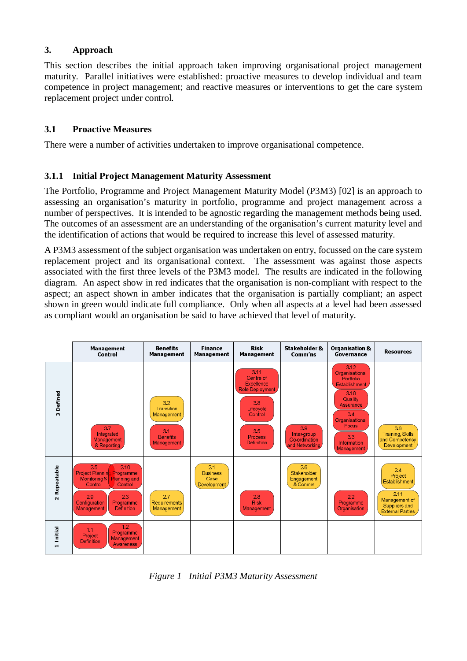### **3. Approach**

This section describes the initial approach taken improving organisational project management maturity. Parallel initiatives were established: proactive measures to develop individual and team competence in project management; and reactive measures or interventions to get the care system replacement project under control.

### **3.1 Proactive Measures**

There were a number of activities undertaken to improve organisational competence.

#### **3.1.1 Initial Project Management Maturity Assessment**

The Portfolio, Programme and Project Management Maturity Model (P3M3) [02] is an approach to assessing an organisation's maturity in portfolio, programme and project management across a number of perspectives. It is intended to be agnostic regarding the management methods being used. The outcomes of an assessment are an understanding of the organisation's current maturity level and the identification of actions that would be required to increase this level of assessed maturity.

A P3M3 assessment of the subject organisation was undertaken on entry, focussed on the care system replacement project and its organisational context. The assessment was against those aspects associated with the first three levels of the P3M3 model. The results are indicated in the following diagram. An aspect show in red indicates that the organisation is non-compliant with respect to the aspect; an aspect shown in amber indicates that the organisation is partially compliant; an aspect shown in green would indicate full compliance. Only when all aspects at a level had been assessed as compliant would an organisation be said to have achieved that level of maturity.



*Figure 1 Initial P3M3 Maturity Assessment*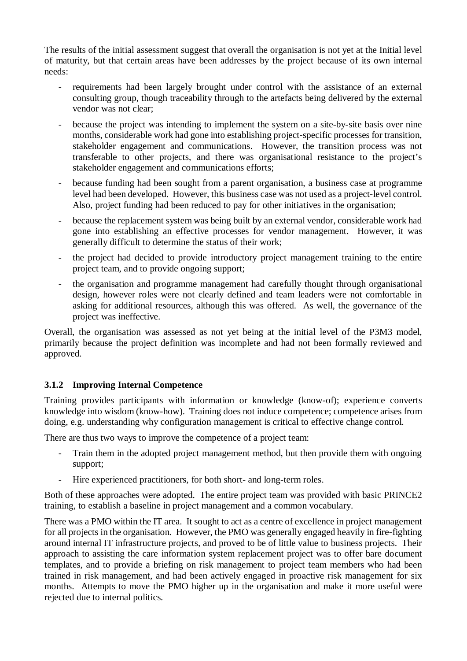The results of the initial assessment suggest that overall the organisation is not yet at the Initial level of maturity, but that certain areas have been addresses by the project because of its own internal needs:

- requirements had been largely brought under control with the assistance of an external consulting group, though traceability through to the artefacts being delivered by the external vendor was not clear;
- because the project was intending to implement the system on a site-by-site basis over nine months, considerable work had gone into establishing project-specific processes for transition, stakeholder engagement and communications. However, the transition process was not transferable to other projects, and there was organisational resistance to the project's stakeholder engagement and communications efforts;
- because funding had been sought from a parent organisation, a business case at programme level had been developed. However, this business case was not used as a project-level control. Also, project funding had been reduced to pay for other initiatives in the organisation;
- because the replacement system was being built by an external vendor, considerable work had gone into establishing an effective processes for vendor management. However, it was generally difficult to determine the status of their work;
- the project had decided to provide introductory project management training to the entire project team, and to provide ongoing support;
- the organisation and programme management had carefully thought through organisational design, however roles were not clearly defined and team leaders were not comfortable in asking for additional resources, although this was offered. As well, the governance of the project was ineffective.

Overall, the organisation was assessed as not yet being at the initial level of the P3M3 model, primarily because the project definition was incomplete and had not been formally reviewed and approved.

#### **3.1.2 Improving Internal Competence**

Training provides participants with information or knowledge (know-of); experience converts knowledge into wisdom (know-how). Training does not induce competence; competence arises from doing, e.g. understanding why configuration management is critical to effective change control.

There are thus two ways to improve the competence of a project team:

- Train them in the adopted project management method, but then provide them with ongoing support;
- Hire experienced practitioners, for both short- and long-term roles.

Both of these approaches were adopted. The entire project team was provided with basic PRINCE2 training, to establish a baseline in project management and a common vocabulary.

There was a PMO within the IT area. It sought to act as a centre of excellence in project management for all projects in the organisation. However, the PMO was generally engaged heavily in fire-fighting around internal IT infrastructure projects, and proved to be of little value to business projects. Their approach to assisting the care information system replacement project was to offer bare document templates, and to provide a briefing on risk management to project team members who had been trained in risk management, and had been actively engaged in proactive risk management for six months. Attempts to move the PMO higher up in the organisation and make it more useful were rejected due to internal politics.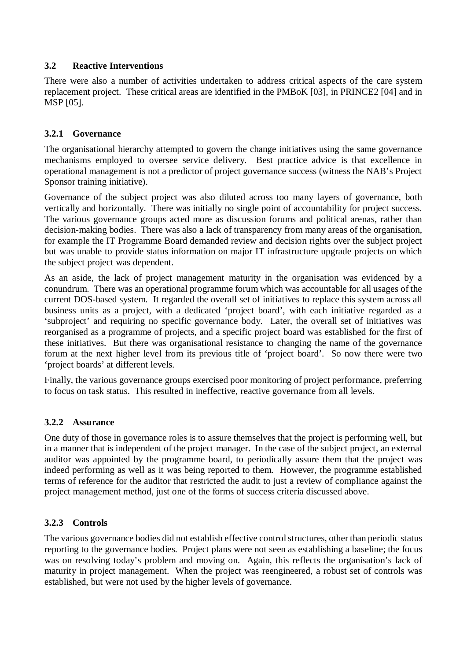#### **3.2 Reactive Interventions**

There were also a number of activities undertaken to address critical aspects of the care system replacement project. These critical areas are identified in the PMBoK [03], in PRINCE2 [04] and in MSP [05].

#### **3.2.1 Governance**

The organisational hierarchy attempted to govern the change initiatives using the same governance mechanisms employed to oversee service delivery. Best practice advice is that excellence in operational management is not a predictor of project governance success (witness the NAB's Project Sponsor training initiative).

Governance of the subject project was also diluted across too many layers of governance, both vertically and horizontally. There was initially no single point of accountability for project success. The various governance groups acted more as discussion forums and political arenas, rather than decision-making bodies. There was also a lack of transparency from many areas of the organisation, for example the IT Programme Board demanded review and decision rights over the subject project but was unable to provide status information on major IT infrastructure upgrade projects on which the subject project was dependent.

As an aside, the lack of project management maturity in the organisation was evidenced by a conundrum. There was an operational programme forum which was accountable for all usages of the current DOS-based system. It regarded the overall set of initiatives to replace this system across all business units as a project, with a dedicated 'project board', with each initiative regarded as a 'subproject' and requiring no specific governance body. Later, the overall set of initiatives was reorganised as a programme of projects, and a specific project board was established for the first of these initiatives. But there was organisational resistance to changing the name of the governance forum at the next higher level from its previous title of 'project board'. So now there were two 'project boards' at different levels.

Finally, the various governance groups exercised poor monitoring of project performance, preferring to focus on task status. This resulted in ineffective, reactive governance from all levels.

#### **3.2.2 Assurance**

One duty of those in governance roles is to assure themselves that the project is performing well, but in a manner that is independent of the project manager. In the case of the subject project, an external auditor was appointed by the programme board, to periodically assure them that the project was indeed performing as well as it was being reported to them. However, the programme established terms of reference for the auditor that restricted the audit to just a review of compliance against the project management method, just one of the forms of success criteria discussed above.

#### **3.2.3 Controls**

The various governance bodies did not establish effective control structures, other than periodic status reporting to the governance bodies. Project plans were not seen as establishing a baseline; the focus was on resolving today's problem and moving on. Again, this reflects the organisation's lack of maturity in project management. When the project was reengineered, a robust set of controls was established, but were not used by the higher levels of governance.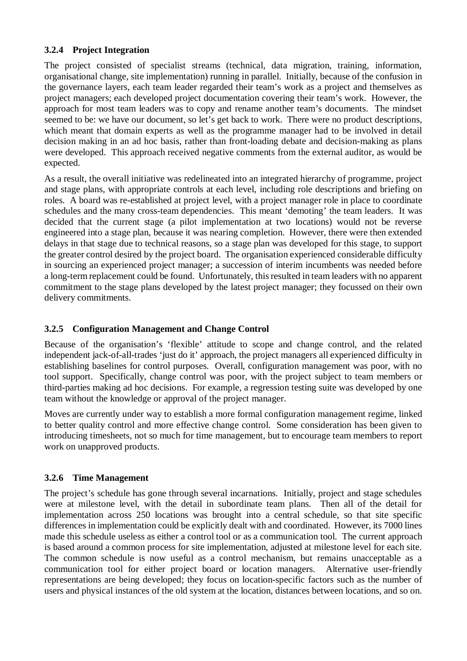#### **3.2.4 Project Integration**

The project consisted of specialist streams (technical, data migration, training, information, organisational change, site implementation) running in parallel. Initially, because of the confusion in the governance layers, each team leader regarded their team's work as a project and themselves as project managers; each developed project documentation covering their team's work. However, the approach for most team leaders was to copy and rename another team's documents. The mindset seemed to be: we have our document, so let's get back to work. There were no product descriptions, which meant that domain experts as well as the programme manager had to be involved in detail decision making in an ad hoc basis, rather than front-loading debate and decision-making as plans were developed. This approach received negative comments from the external auditor, as would be expected.

As a result, the overall initiative was redelineated into an integrated hierarchy of programme, project and stage plans, with appropriate controls at each level, including role descriptions and briefing on roles. A board was re-established at project level, with a project manager role in place to coordinate schedules and the many cross-team dependencies. This meant 'demoting' the team leaders. It was decided that the current stage (a pilot implementation at two locations) would not be reverse engineered into a stage plan, because it was nearing completion. However, there were then extended delays in that stage due to technical reasons, so a stage plan was developed for this stage, to support the greater control desired by the project board. The organisation experienced considerable difficulty in sourcing an experienced project manager; a succession of interim incumbents was needed before a long-term replacement could be found. Unfortunately, this resulted in team leaders with no apparent commitment to the stage plans developed by the latest project manager; they focussed on their own delivery commitments.

### **3.2.5 Configuration Management and Change Control**

Because of the organisation's 'flexible' attitude to scope and change control, and the related independent jack-of-all-trades 'just do it' approach, the project managers all experienced difficulty in establishing baselines for control purposes. Overall, configuration management was poor, with no tool support. Specifically, change control was poor, with the project subject to team members or third-parties making ad hoc decisions. For example, a regression testing suite was developed by one team without the knowledge or approval of the project manager.

Moves are currently under way to establish a more formal configuration management regime, linked to better quality control and more effective change control. Some consideration has been given to introducing timesheets, not so much for time management, but to encourage team members to report work on unapproved products.

#### **3.2.6 Time Management**

The project's schedule has gone through several incarnations. Initially, project and stage schedules were at milestone level, with the detail in subordinate team plans. Then all of the detail for implementation across 250 locations was brought into a central schedule, so that site specific differences in implementation could be explicitly dealt with and coordinated. However, its 7000 lines made this schedule useless as either a control tool or as a communication tool. The current approach is based around a common process for site implementation, adjusted at milestone level for each site. The common schedule is now useful as a control mechanism, but remains unacceptable as a communication tool for either project board or location managers. Alternative user-friendly representations are being developed; they focus on location-specific factors such as the number of users and physical instances of the old system at the location, distances between locations, and so on.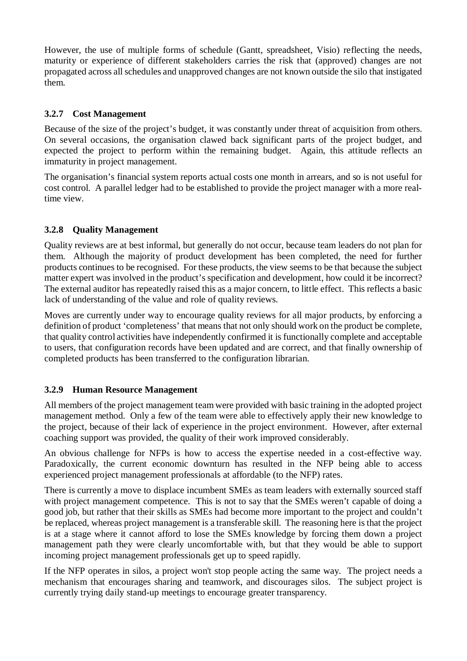However, the use of multiple forms of schedule (Gantt, spreadsheet, Visio) reflecting the needs, maturity or experience of different stakeholders carries the risk that (approved) changes are not propagated across all schedules and unapproved changes are not known outside the silo that instigated them.

## **3.2.7 Cost Management**

Because of the size of the project's budget, it was constantly under threat of acquisition from others. On several occasions, the organisation clawed back significant parts of the project budget, and expected the project to perform within the remaining budget. Again, this attitude reflects an immaturity in project management.

The organisation's financial system reports actual costs one month in arrears, and so is not useful for cost control. A parallel ledger had to be established to provide the project manager with a more realtime view.

### **3.2.8 Quality Management**

Quality reviews are at best informal, but generally do not occur, because team leaders do not plan for them. Although the majority of product development has been completed, the need for further products continues to be recognised. For these products, the view seems to be that because the subject matter expert was involved in the product's specification and development, how could it be incorrect? The external auditor has repeatedly raised this as a major concern, to little effect. This reflects a basic lack of understanding of the value and role of quality reviews.

Moves are currently under way to encourage quality reviews for all major products, by enforcing a definition of product 'completeness' that means that not only should work on the product be complete, that quality control activities have independently confirmed it is functionally complete and acceptable to users, that configuration records have been updated and are correct, and that finally ownership of completed products has been transferred to the configuration librarian.

#### **3.2.9 Human Resource Management**

All members of the project management team were provided with basic training in the adopted project management method. Only a few of the team were able to effectively apply their new knowledge to the project, because of their lack of experience in the project environment. However, after external coaching support was provided, the quality of their work improved considerably.

An obvious challenge for NFPs is how to access the expertise needed in a cost-effective way. Paradoxically, the current economic downturn has resulted in the NFP being able to access experienced project management professionals at affordable (to the NFP) rates.

There is currently a move to displace incumbent SMEs as team leaders with externally sourced staff with project management competence. This is not to say that the SMEs weren't capable of doing a good job, but rather that their skills as SMEs had become more important to the project and couldn't be replaced, whereas project management is a transferable skill. The reasoning here is that the project is at a stage where it cannot afford to lose the SMEs knowledge by forcing them down a project management path they were clearly uncomfortable with, but that they would be able to support incoming project management professionals get up to speed rapidly.

If the NFP operates in silos, a project won't stop people acting the same way. The project needs a mechanism that encourages sharing and teamwork, and discourages silos. The subject project is currently trying daily stand-up meetings to encourage greater transparency.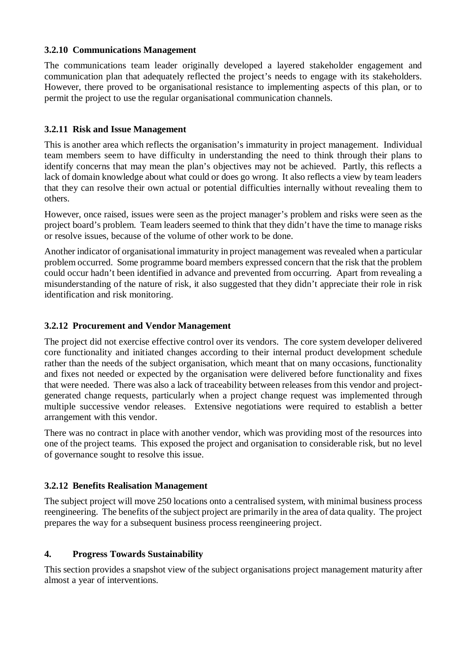#### **3.2.10 Communications Management**

The communications team leader originally developed a layered stakeholder engagement and communication plan that adequately reflected the project's needs to engage with its stakeholders. However, there proved to be organisational resistance to implementing aspects of this plan, or to permit the project to use the regular organisational communication channels.

#### **3.2.11 Risk and Issue Management**

This is another area which reflects the organisation's immaturity in project management. Individual team members seem to have difficulty in understanding the need to think through their plans to identify concerns that may mean the plan's objectives may not be achieved. Partly, this reflects a lack of domain knowledge about what could or does go wrong. It also reflects a view by team leaders that they can resolve their own actual or potential difficulties internally without revealing them to others.

However, once raised, issues were seen as the project manager's problem and risks were seen as the project board's problem. Team leaders seemed to think that they didn't have the time to manage risks or resolve issues, because of the volume of other work to be done.

Another indicator of organisational immaturity in project management was revealed when a particular problem occurred. Some programme board members expressed concern that the risk that the problem could occur hadn't been identified in advance and prevented from occurring. Apart from revealing a misunderstanding of the nature of risk, it also suggested that they didn't appreciate their role in risk identification and risk monitoring.

#### **3.2.12 Procurement and Vendor Management**

The project did not exercise effective control over its vendors. The core system developer delivered core functionality and initiated changes according to their internal product development schedule rather than the needs of the subject organisation, which meant that on many occasions, functionality and fixes not needed or expected by the organisation were delivered before functionality and fixes that were needed. There was also a lack of traceability between releases from this vendor and projectgenerated change requests, particularly when a project change request was implemented through multiple successive vendor releases. Extensive negotiations were required to establish a better arrangement with this vendor.

There was no contract in place with another vendor, which was providing most of the resources into one of the project teams. This exposed the project and organisation to considerable risk, but no level of governance sought to resolve this issue.

#### **3.2.12 Benefits Realisation Management**

The subject project will move 250 locations onto a centralised system, with minimal business process reengineering. The benefits of the subject project are primarily in the area of data quality. The project prepares the way for a subsequent business process reengineering project.

#### **4. Progress Towards Sustainability**

This section provides a snapshot view of the subject organisations project management maturity after almost a year of interventions.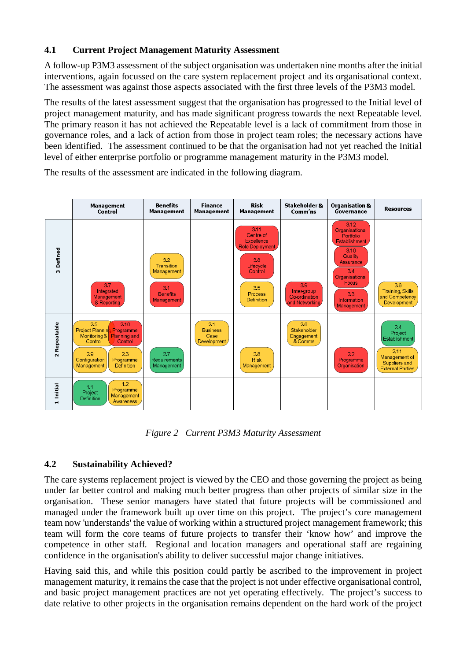# **4.1 Current Project Management Maturity Assessment**

A follow-up P3M3 assessment of the subject organisation was undertaken nine months after the initial interventions, again focussed on the care system replacement project and its organisational context. The assessment was against those aspects associated with the first three levels of the P3M3 model.

The results of the latest assessment suggest that the organisation has progressed to the Initial level of project management maturity, and has made significant progress towards the next Repeatable level. The primary reason it has not achieved the Repeatable level is a lack of commitment from those in governance roles, and a lack of action from those in project team roles; the necessary actions have been identified. The assessment continued to be that the organisation had not yet reached the Initial level of either enterprise portfolio or programme management maturity in the P3M3 model.

**Risk** Stakeholder & **Organisation & Management Benefits Finance Resources** Control Management **Management Management** Comm'ns Governance  $31'$ Organisational Centre of **Portfolio** Excellence<br>le Deploym **stablishment**  $3,10$ **3 Defined** Quality  $3.8$ Assurance Lifecycle<br>Control **Transition** Managemen  $3.4$ Organisational Focus  $36$  $3.1$  $3.5$ Integrated Inter-group **Training, Skills** Benefits Process  $33$ ے۔<br>So-ordination<br>Networkin Ind Competent<br>Development Definition lanagemei Information Managemer 2.6 Repeatable **2 Repeatable**  $24$ Project Plannin Programme **Business** Stakeholder Monitoring &<br>Control P<mark>lanning and</mark> Case Engagement<br>& Comms Establishme Conti velopment 2.11  $29$  $23$  $27$  $28$  $22$  $\sim$ Management of Configuration Programme Risk Programme Requirements Suppliers and<br>External Parties Managemen Definition Management Management <u> Organisation</u>  $\overline{12}$ **1 Initial** 1.1<br>Project Programme Management Definition Awareness

The results of the assessment are indicated in the following diagram.

*Figure 2 Current P3M3 Maturity Assessment* 

# **4.2 Sustainability Achieved?**

The care systems replacement project is viewed by the CEO and those governing the project as being under far better control and making much better progress than other projects of similar size in the organisation. These senior managers have stated that future projects will be commissioned and managed under the framework built up over time on this project. The project's core management team now 'understands' the value of working within a structured project management framework; this team will form the core teams of future projects to transfer their 'know how' and improve the competence in other staff. Regional and location managers and operational staff are regaining confidence in the organisation's ability to deliver successful major change initiatives.

Having said this, and while this position could partly be ascribed to the improvement in project management maturity, it remains the case that the project is not under effective organisational control, and basic project management practices are not yet operating effectively. The project's success to date relative to other projects in the organisation remains dependent on the hard work of the project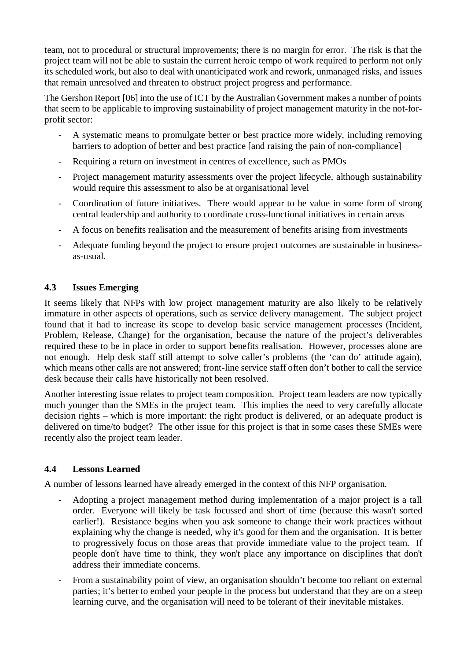team, not to procedural or structural improvements; there is no margin for error. The risk is that the project team will not be able to sustain the current heroic tempo of work required to perform not only its scheduled work, but also to deal with unanticipated work and rework, unmanaged risks, and issues that remain unresolved and threaten to obstruct project progress and performance.

The Gershon Report [06] into the use of ICT by the Australian Government makes a number of points that seem to be applicable to improving sustainability of project management maturity in the not-forprofit sector:

- A systematic means to promulgate better or best practice more widely, including removing barriers to adoption of better and best practice [and raising the pain of non-compliance]
- Requiring a return on investment in centres of excellence, such as PMOs
- Project management maturity assessments over the project lifecycle, although sustainability would require this assessment to also be at organisational level
- Coordination of future initiatives. There would appear to be value in some form of strong central leadership and authority to coordinate cross-functional initiatives in certain areas
- A focus on benefits realisation and the measurement of benefits arising from investments
- Adequate funding beyond the project to ensure project outcomes are sustainable in businessas-usual.

# **4.3 Issues Emerging**

It seems likely that NFPs with low project management maturity are also likely to be relatively immature in other aspects of operations, such as service delivery management. The subject project found that it had to increase its scope to develop basic service management processes (Incident, Problem, Release, Change) for the organisation, because the nature of the project's deliverables required these to be in place in order to support benefits realisation. However, processes alone are not enough. Help desk staff still attempt to solve caller's problems (the 'can do' attitude again), which means other calls are not answered; front-line service staff often don't bother to call the service desk because their calls have historically not been resolved.

Another interesting issue relates to project team composition. Project team leaders are now typically much younger than the SMEs in the project team. This implies the need to very carefully allocate decision rights – which is more important: the right product is delivered, or an adequate product is delivered on time/to budget? The other issue for this project is that in some cases these SMEs were recently also the project team leader.

# **4.4 Lessons Learned**

A number of lessons learned have already emerged in the context of this NFP organisation.

- Adopting a project management method during implementation of a major project is a tall order. Everyone will likely be task focussed and short of time (because this wasn't sorted earlier!). Resistance begins when you ask someone to change their work practices without explaining why the change is needed, why it's good for them and the organisation. It is better to progressively focus on those areas that provide immediate value to the project team. If people don't have time to think, they won't place any importance on disciplines that don't address their immediate concerns.
- From a sustainability point of view, an organisation shouldn't become too reliant on external parties; it's better to embed your people in the process but understand that they are on a steep learning curve, and the organisation will need to be tolerant of their inevitable mistakes.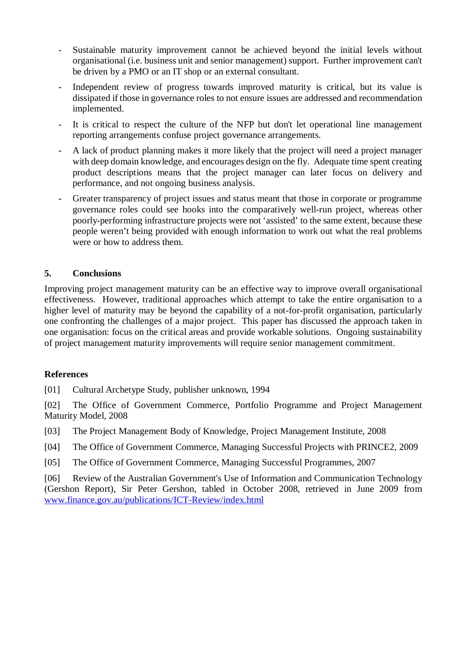- Sustainable maturity improvement cannot be achieved beyond the initial levels without organisational (i.e. business unit and senior management) support. Further improvement can't be driven by a PMO or an IT shop or an external consultant.
- Independent review of progress towards improved maturity is critical, but its value is dissipated if those in governance roles to not ensure issues are addressed and recommendation implemented.
- It is critical to respect the culture of the NFP but don't let operational line management reporting arrangements confuse project governance arrangements.
- A lack of product planning makes it more likely that the project will need a project manager with deep domain knowledge, and encourages design on the fly. Adequate time spent creating product descriptions means that the project manager can later focus on delivery and performance, and not ongoing business analysis.
- Greater transparency of project issues and status meant that those in corporate or programme governance roles could see hooks into the comparatively well-run project, whereas other poorly-performing infrastructure projects were not 'assisted' to the same extent, because these people weren't being provided with enough information to work out what the real problems were or how to address them.

#### **5. Conclusions**

Improving project management maturity can be an effective way to improve overall organisational effectiveness. However, traditional approaches which attempt to take the entire organisation to a higher level of maturity may be beyond the capability of a not-for-profit organisation, particularly one confronting the challenges of a major project. This paper has discussed the approach taken in one organisation: focus on the critical areas and provide workable solutions. Ongoing sustainability of project management maturity improvements will require senior management commitment.

#### **References**

[01] Cultural Archetype Study, publisher unknown, 1994

[02] The Office of Government Commerce, Portfolio Programme and Project Management Maturity Model, 2008

[03] The Project Management Body of Knowledge, Project Management Institute, 2008

[04] The Office of Government Commerce, Managing Successful Projects with PRINCE2, 2009

[05] The Office of Government Commerce, Managing Successful Programmes, 2007

[06] Review of the Australian Government's Use of Information and Communication Technology (Gershon Report), Sir Peter Gershon, tabled in October 2008, retrieved in June 2009 from www.finance.gov.au/publications/ICT-Review/index.html